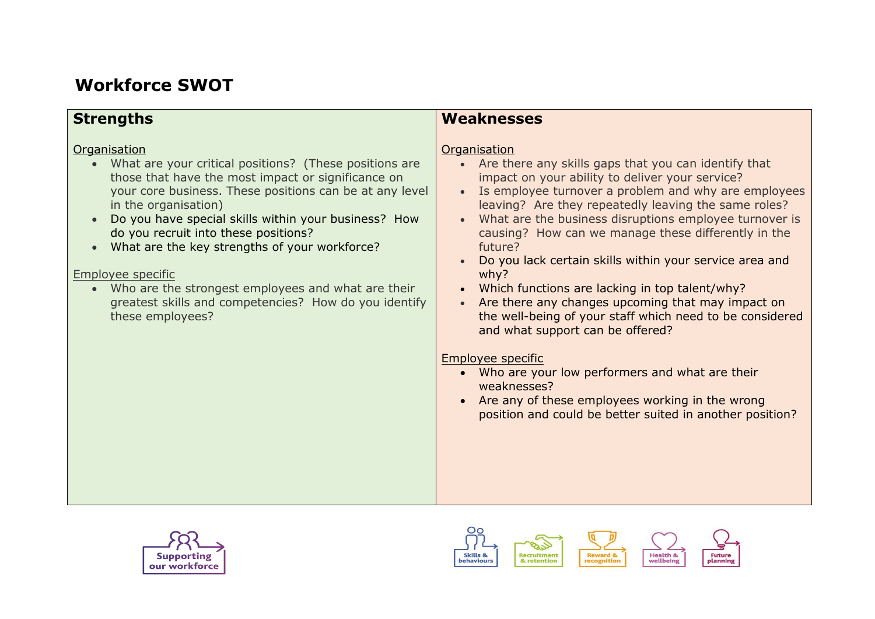## **Workforce SWOT**

| <b>Strengths</b>                                                                                                                                                                                                                                                                                                                                                                                                                                                                                                                      | <b>Weaknesses</b>                                                                                                                                                                                                                                                                                                                                                                                                                                                                                                                                                                                                                                                                                                                                                                                                                                                      |
|---------------------------------------------------------------------------------------------------------------------------------------------------------------------------------------------------------------------------------------------------------------------------------------------------------------------------------------------------------------------------------------------------------------------------------------------------------------------------------------------------------------------------------------|------------------------------------------------------------------------------------------------------------------------------------------------------------------------------------------------------------------------------------------------------------------------------------------------------------------------------------------------------------------------------------------------------------------------------------------------------------------------------------------------------------------------------------------------------------------------------------------------------------------------------------------------------------------------------------------------------------------------------------------------------------------------------------------------------------------------------------------------------------------------|
| Organisation<br>What are your critical positions? (These positions are<br>$\bullet$<br>those that have the most impact or significance on<br>your core business. These positions can be at any level<br>in the organisation)<br>Do you have special skills within your business? How<br>do you recruit into these positions?<br>What are the key strengths of your workforce?<br>Employee specific<br>Who are the strongest employees and what are their<br>greatest skills and competencies? How do you identify<br>these employees? | Organisation<br>Are there any skills gaps that you can identify that<br>$\bullet$<br>impact on your ability to deliver your service?<br>Is employee turnover a problem and why are employees<br>leaving? Are they repeatedly leaving the same roles?<br>What are the business disruptions employee turnover is<br>causing? How can we manage these differently in the<br>future?<br>Do you lack certain skills within your service area and<br>why?<br>Which functions are lacking in top talent/why?<br>Are there any changes upcoming that may impact on<br>the well-being of your staff which need to be considered<br>and what support can be offered?<br><b>Employee specific</b><br>Who are your low performers and what are their<br>weaknesses?<br>Are any of these employees working in the wrong<br>position and could be better suited in another position? |